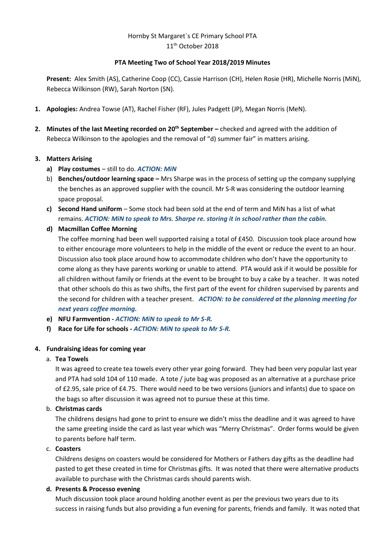# Hornby St Margaret`s CE Primary School PTA 11th October 2018

### **PTA Meeting Two of School Year 2018/2019 Minutes**

**Present:** Alex Smith (AS), Catherine Coop (CC), Cassie Harrison (CH), Helen Rosie (HR), Michelle Norris (MiN), Rebecca Wilkinson (RW), Sarah Norton (SN).

- **1. Apologies:** Andrea Towse (AT), Rachel Fisher (RF), Jules Padgett (JP), Megan Norris (MeN).
- **2. Minutes of the last Meeting recorded on 20th September –** checked and agreed with the addition of Rebecca Wilkinson to the apologies and the removal of "d) summer fair" in matters arising.

## **3. Matters Arising**

- **a) Play costumes** still to do. *ACTION: MiN*
- b) **Benches/outdoor learning space –** Mrs Sharpe was in the process of setting up the company supplying the benches as an approved supplier with the council. Mr S-R was considering the outdoor learning space proposal.
- **c) Second Hand uniform** Some stock had been sold at the end of term and MiN has a list of what remains. *ACTION: MiN to speak to Mrs. Sharpe re. storing it in school rather than the cabin.*
- **d) Macmillan Coffee Morning**

The coffee morning had been well supported raising a total of £450. Discussion took place around how to either encourage more volunteers to help in the middle of the event or reduce the event to an hour. Discussion also took place around how to accommodate children who don't have the opportunity to come along as they have parents working or unable to attend. PTA would ask if it would be possible for all children without family or friends at the event to be brought to buy a cake by a teacher. It was noted that other schools do this as two shifts, the first part of the event for children supervised by parents and the second for children with a teacher present. *ACTION: to be considered at the planning meeting for next years coffee morning.*

- **e) NFU Farmvention -** *ACTION: MiN to speak to Mr S-R.*
- **f) Race for Life for schools -** *ACTION: MiN to speak to Mr S-R.*

#### **4. Fundraising ideas for coming year**

#### a. **Tea Towels**

It was agreed to create tea towels every other year going forward. They had been very popular last year and PTA had sold 104 of 110 made. A tote / jute bag was proposed as an alternative at a purchase price of £2.95, sale price of £4.75. There would need to be two versions (juniors and infants) due to space on the bags so after discussion it was agreed not to pursue these at this time.

#### b. **Christmas cards**

The childrens designs had gone to print to ensure we didn't miss the deadline and it was agreed to have the same greeting inside the card as last year which was "Merry Christmas". Order forms would be given to parents before half term.

#### c. **Coasters**

Childrens designs on coasters would be considered for Mothers or Fathers day gifts as the deadline had pasted to get these created in time for Christmas gifts. It was noted that there were alternative products available to purchase with the Christmas cards should parents wish.

## **d. Presents & Processo evening**

Much discussion took place around holding another event as per the previous two years due to its success in raising funds but also providing a fun evening for parents, friends and family. It was noted that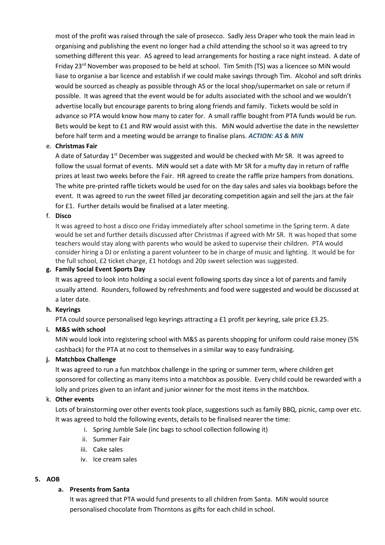most of the profit was raised through the sale of prosecco. Sadly Jess Draper who took the main lead in organising and publishing the event no longer had a child attending the school so it was agreed to try something different this year. AS agreed to lead arrangements for hosting a race night instead. A date of Friday 23<sup>rd</sup> November was proposed to be held at school. Tim Smith (TS) was a licencee so MiN would liase to organise a bar licence and establish if we could make savings through Tim. Alcohol and soft drinks would be sourced as cheaply as possible through AS or the local shop/supermarket on sale or return if possible. It was agreed that the event would be for adults associated with the school and we wouldn't advertise locally but encourage parents to bring along friends and family. Tickets would be sold in advance so PTA would know how many to cater for. A small raffle bought from PTA funds would be run. Bets would be kept to £1 and RW would assist with this. MiN would advertise the date in the newsletter before half term and a meeting would be arrange to finalise plans. *ACTION: AS & MiN*

## e. **Christmas Fair**

A date of Saturday 1<sup>st</sup> December was suggested and would be checked with Mr SR. It was agreed to follow the usual format of events. MiN would set a date with Mr SR for a mufty day in return of raffle prizes at least two weeks before the Fair. HR agreed to create the raffle prize hampers from donations. The white pre-printed raffle tickets would be used for on the day sales and sales via bookbags before the event. It was agreed to run the sweet filled jar decorating competition again and sell the jars at the fair for £1. Further details would be finalised at a later meeting.

#### f. **Disco**

It was agreed to host a disco one Friday immediately after school sometime in the Spring term. A date would be set and further details discussed after Christmas if agreed with Mr SR. It was hoped that some teachers would stay along with parents who would be asked to supervise their children. PTA would consider hiring a DJ or enlisting a parent volunteer to be in charge of music and lighting. It would be for the full school, £2 ticket charge, £1 hotdogs and 20p sweet selection was suggested.

#### **g. Family Social Event Sports Day**

It was agreed to look into holding a social event following sports day since a lot of parents and family usually attend. Rounders, followed by refreshments and food were suggested and would be discussed at a later date.

#### **h. Keyrings**

PTA could source personalised lego keyrings attracting a £1 profit per keyring, sale price £3.25.

#### **i. M&S with school**

MiN would look into registering school with M&S as parents shopping for uniform could raise money (5% cashback) for the PTA at no cost to themselves in a similar way to easy fundraising.

#### **j. Matchbox Challenge**

It was agreed to run a fun matchbox challenge in the spring or summer term, where children get sponsored for collecting as many items into a matchbox as possible. Every child could be rewarded with a lolly and prizes given to an infant and junior winner for the most items in the matchbox.

#### k. **Other events**

Lots of brainstorming over other events took place, suggestions such as family BBQ, picnic, camp over etc. It was agreed to hold the following events, details to be finalised nearer the time:

- i. Spring Jumble Sale (inc bags to school collection following it)
- ii. Summer Fair
- iii. Cake sales
- iv. Ice cream sales

## **5. AOB**

#### **a. Presents from Santa**

It was agreed that PTA would fund presents to all children from Santa. MiN would source personalised chocolate from Thorntons as gifts for each child in school.